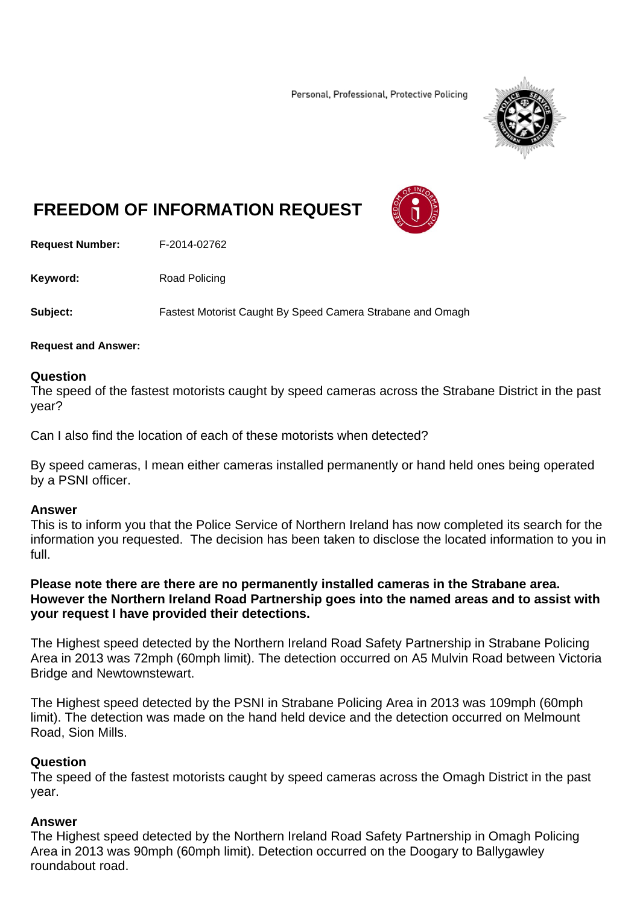Personal, Professional, Protective Policing



# **FREEDOM OF INFORMATION REQUEST**

**Request Number:** F-2014-02762

**Keyword:** Road Policing

**Subject:** Fastest Motorist Caught By Speed Camera Strabane and Omagh

#### **Request and Answer:**

### **Question**

The speed of the fastest motorists caught by speed cameras across the Strabane District in the past year?

Can I also find the location of each of these motorists when detected?

By speed cameras, I mean either cameras installed permanently or hand held ones being operated by a PSNI officer.

#### **Answer**

This is to inform you that the Police Service of Northern Ireland has now completed its search for the information you requested. The decision has been taken to disclose the located information to you in full.

## **Please note there are there are no permanently installed cameras in the Strabane area. However the Northern Ireland Road Partnership goes into the named areas and to assist with your request I have provided their detections.**

The Highest speed detected by the Northern Ireland Road Safety Partnership in Strabane Policing Area in 2013 was 72mph (60mph limit). The detection occurred on A5 Mulvin Road between Victoria Bridge and Newtownstewart.

The Highest speed detected by the PSNI in Strabane Policing Area in 2013 was 109mph (60mph limit). The detection was made on the hand held device and the detection occurred on Melmount Road, Sion Mills.

## **Question**

The speed of the fastest motorists caught by speed cameras across the Omagh District in the past year.

## **Answer**

The Highest speed detected by the Northern Ireland Road Safety Partnership in Omagh Policing Area in 2013 was 90mph (60mph limit). Detection occurred on the Doogary to Ballygawley roundabout road.